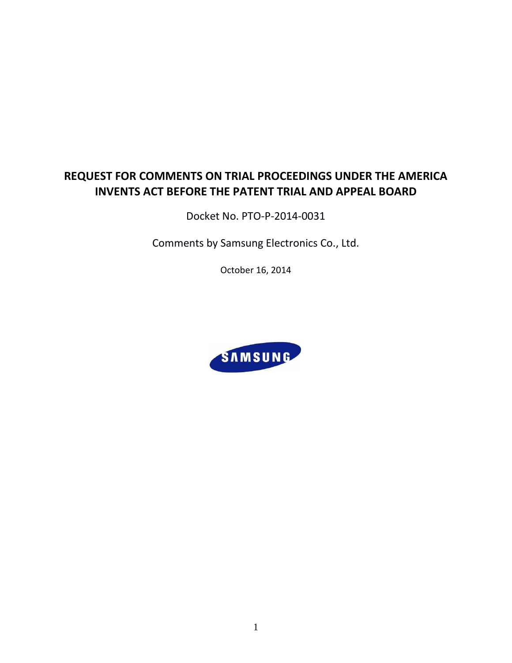# **REQUEST FOR COMMENTS ON TRIAL PROCEEDINGS UNDER THE AMERICA INVENTS ACT BEFORE THE PATENT TRIAL AND APPEAL BOARD**

Docket No. PTO-P-2014-0031

Comments by Samsung Electronics Co., Ltd.

October 16, 2014

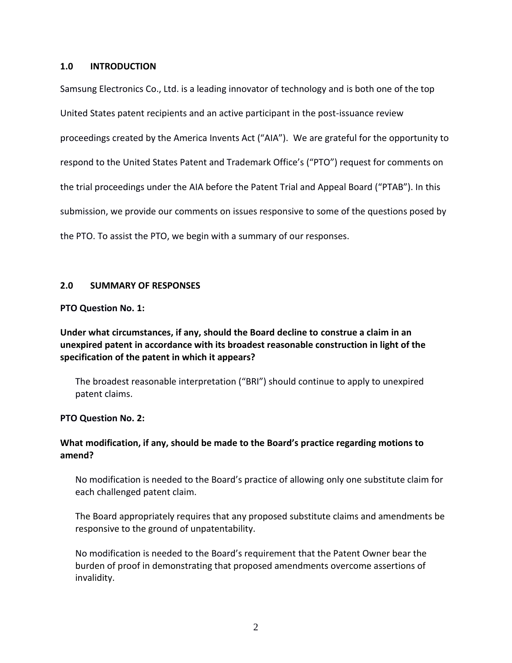#### **1.0 INTRODUCTION**

Samsung Electronics Co., Ltd. is a leading innovator of technology and is both one of the top United States patent recipients and an active participant in the post-issuance review proceedings created by the America Invents Act ("AIA"). We are grateful for the opportunity to respond to the United States Patent and Trademark Office's ("PTO") request for comments on the trial proceedings under the AIA before the Patent Trial and Appeal Board ("PTAB"). In this submission, we provide our comments on issues responsive to some of the questions posed by the PTO. To assist the PTO, we begin with a summary of our responses.

### **2.0 SUMMARY OF RESPONSES**

#### **PTO Question No. [1:](#page-3-0)**

**[Under what circumstances, if any, should the Board decline to construe a claim in an](#page-3-0)  [unexpired patent in accordance with its broadest reasonable construction in light of the](#page-3-0)  [specification of the patent in which it appears?](#page-3-0)**

The broadest reasonable interpretation ("BRI") should continue to apply to unexpired patent claims.

### **PTO Question No. [2:](#page-4-0)**

# **[What modification, if any, should be made to the Board's practice regarding motions to](#page-4-0)  [amend?](#page-4-0)**

No modification is needed to the Board's practice of allowing only one substitute claim for each challenged patent claim.

[The Board appropriately requires that any proposed substitute claims and amendments be](#page-4-1)  [responsive to the ground of unpatentability.](#page-4-1)

No modification is needed to the Board's requirement that [the Patent Owner bear the](#page-5-0)  [burden of proof in demonstrating that proposed amendments overcome assertions of](#page-5-0)  [invalidity.](#page-5-0)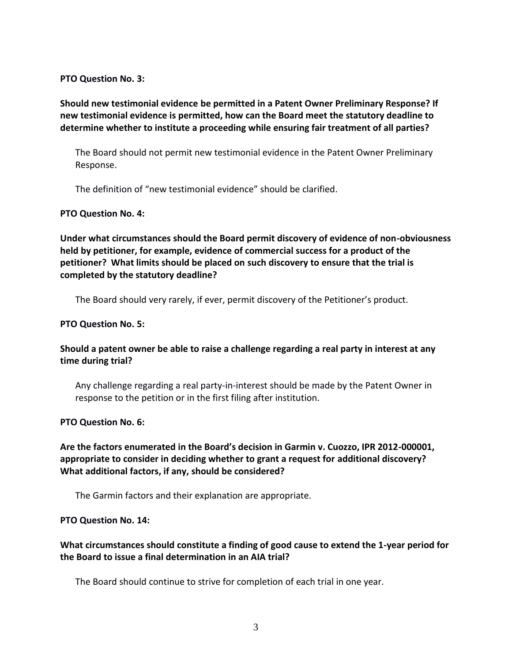#### **[PTO Question No. 3:](#page-6-0)**

**[Should new testimonial evidence be permitted in a Patent Owner Preliminary Response? If](#page-6-0)  [new testimonial evidence is permitted, how can the Board meet the statutory deadline to](#page-6-0)  [determine whether to institute a proceeding while ensuring fair treatment of all parties?](#page-6-0)**

[The Board should not permit new testimonial evidence in the Patent Owner Preliminary](#page-6-1)  [Response.](#page-6-1)

The definition of ["new testimonial evidence"](#page-6-2) should be clarified.

#### **[PTO Question No. 4:](#page-7-0)**

**[Under what circumstances should the Board permit discovery of evidence of non-obviousness](#page-7-0)  [held by petitioner, for example, evidence of commercial success for a product of the](#page-7-0)  [petitioner? What limits should be placed on such discovery to ensure that the trial is](#page-7-0)  [completed by the statutory deadline?](#page-7-0)**

[The Board should very rarely, if ever, permit discovery of the Petitioner's product.](#page-7-1)

#### **[PTO Question No. 5:](#page-7-2)**

# **[Should a patent owner be able to raise a challenge regarding a real party in interest at any](#page-7-2)  [time during trial?](#page-7-2)**

Any challenge regarding a real party-in-interest should be made by the [Patent Owner](#page-7-3) in [response to the petition or in the first filing after institution.](#page-7-3) 

#### **[PTO Question No. 6:](#page-8-0)**

**[Are the factors enumerated in the Board's decision in Garmin v. Cuozzo, IPR 2012](#page-8-0)-000001, [appropriate to consider in deciding whether to grant a request for](#page-8-0) additional discovery? [What additional factors, if any, should be considered?](#page-8-0)**

[The Garmin factors and their explanation are appropriate.](#page-8-1)

### **PTO Question No. [14:](#page-8-2)**

# **What circumstances should [constitute a finding of good cause to extend the 1-year period for](#page-8-2)  [the Board to issue a final determination in an AIA trial?](#page-8-2)**

[The Board should continue to strive for completion of each trial in one year.](#page-8-3)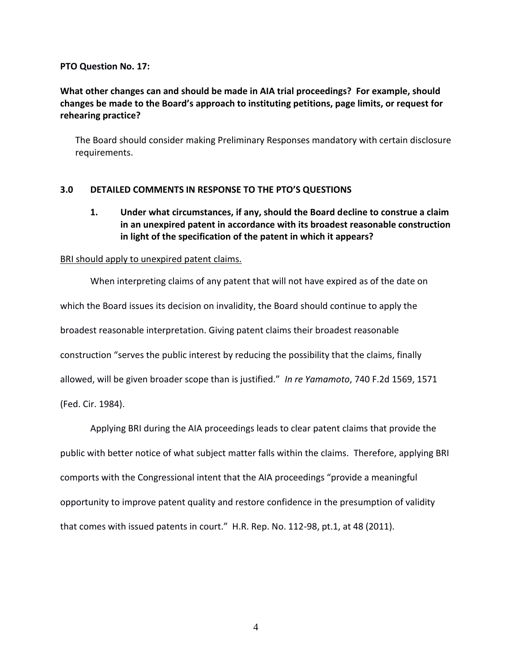#### **PTO Question No. [17:](#page-9-0)**

# **[What other changes can and should be made in AIA trial proceedings? For example, should](#page-9-0)  [changes be made to the Board's approach to instituting petitions, page limits, or request for](#page-9-0)  [rehearing practice?](#page-9-0)**

[The Board should consider making Preliminary Responses mandatory with certain disclosure](#page-9-1)  [requirements.](#page-9-1)

### <span id="page-3-0"></span>**3.0 DETAILED COMMENTS IN RESPONSE TO THE PTO'S QUESTIONS**

# **1. Under what circumstances, if any, should the Board decline to construe a claim in an unexpired patent in accordance with its broadest reasonable construction in light of the specification of the patent in which it appears?**

#### BRI should apply to unexpired patent claims.

When interpreting claims of any patent that will not have expired as of the date on which the Board issues its decision on invalidity, the Board should continue to apply the broadest reasonable interpretation. Giving patent claims their broadest reasonable construction "serves the public interest by reducing the possibility that the claims, finally allowed, will be given broader scope than is justified." *In re Yamamoto*, 740 F.2d 1569, 1571 (Fed. Cir. 1984).

Applying BRI during the AIA proceedings leads to clear patent claims that provide the public with better notice of what subject matter falls within the claims. Therefore, applying BRI comports with the Congressional intent that the AIA proceedings "provide a meaningful opportunity to improve patent quality and restore confidence in the presumption of validity that comes with issued patents in court." H.R. Rep. No. 112-98, pt.1, at 48 (2011).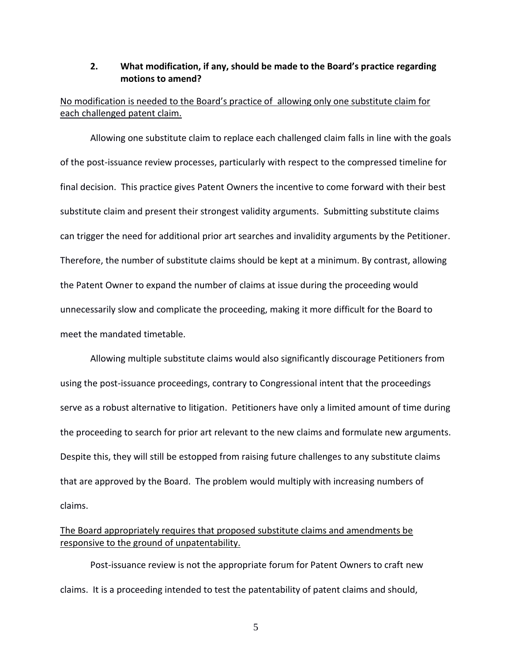### <span id="page-4-0"></span>**2. What modification, if any, should be made to the Board's practice regarding motions to amend?**

# No modification is needed to the Board's practice of allowing only one substitute claim for each challenged patent claim.

Allowing one substitute claim to replace each challenged claim falls in line with the goals of the post-issuance review processes, particularly with respect to the compressed timeline for final decision. This practice gives Patent Owners the incentive to come forward with their best substitute claim and present their strongest validity arguments. Submitting substitute claims can trigger the need for additional prior art searches and invalidity arguments by the Petitioner. Therefore, the number of substitute claims should be kept at a minimum. By contrast, allowing the Patent Owner to expand the number of claims at issue during the proceeding would unnecessarily slow and complicate the proceeding, making it more difficult for the Board to meet the mandated timetable.

Allowing multiple substitute claims would also significantly discourage Petitioners from using the post-issuance proceedings, contrary to Congressional intent that the proceedings serve as a robust alternative to litigation. Petitioners have only a limited amount of time during the proceeding to search for prior art relevant to the new claims and formulate new arguments. Despite this, they will still be estopped from raising future challenges to any substitute claims that are approved by the Board. The problem would multiply with increasing numbers of claims.

# <span id="page-4-1"></span>The Board appropriately requires that proposed substitute claims and amendments be responsive to the ground of unpatentability.

Post-issuance review is not the appropriate forum for Patent Owners to craft new claims. It is a proceeding intended to test the patentability of patent claims and should,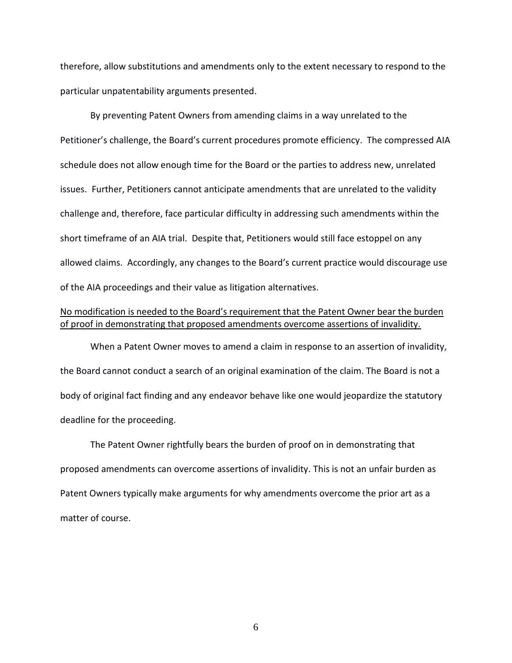therefore, allow substitutions and amendments only to the extent necessary to respond to the particular unpatentability arguments presented.

By preventing Patent Owners from amending claims in a way unrelated to the Petitioner's challenge, the Board's current procedures promote efficiency. The compressed AIA schedule does not allow enough time for the Board or the parties to address new, unrelated issues. Further, Petitioners cannot anticipate amendments that are unrelated to the validity challenge and, therefore, face particular difficulty in addressing such amendments within the short timeframe of an AIA trial. Despite that, Petitioners would still face estoppel on any allowed claims. Accordingly, any changes to the Board's current practice would discourage use of the AIA proceedings and their value as litigation alternatives.

# <span id="page-5-0"></span>No modification is needed to the Board's requirement that [the Patent Owner bear the burden](#page-5-0)  [of proof in demonstrating that proposed amendments overcome assertions of invalidity.](#page-5-0)

When a Patent Owner moves to amend a claim in response to an assertion of invalidity, the Board cannot conduct a search of an original examination of the claim. The Board is not a body of original fact finding and any endeavor behave like one would jeopardize the statutory deadline for the proceeding.

The Patent Owner rightfully bears the burden of proof on in demonstrating that proposed amendments can overcome assertions of invalidity. This is not an unfair burden as Patent Owners typically make arguments for why amendments overcome the prior art as a matter of course.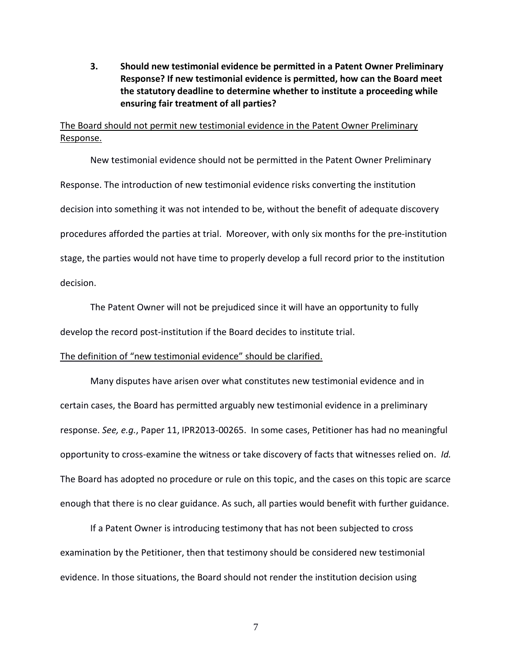<span id="page-6-0"></span>**3. Should new testimonial evidence be permitted in a Patent Owner Preliminary Response? If new testimonial evidence is permitted, how can the Board meet the statutory deadline to determine whether to institute a proceeding while ensuring fair treatment of all parties?**

# <span id="page-6-1"></span>The Board should not permit new testimonial evidence in the Patent Owner Preliminary Response.

New testimonial evidence should not be permitted in the Patent Owner Preliminary Response. The introduction of new testimonial evidence risks converting the institution decision into something it was not intended to be, without the benefit of adequate discovery procedures afforded the parties at trial. Moreover, with only six months for the pre-institution stage, the parties would not have time to properly develop a full record prior to the institution decision.

The Patent Owner will not be prejudiced since it will have an opportunity to fully develop the record post-institution if the Board decides to institute trial.

#### <span id="page-6-2"></span>The definition of ["new testimonial evidence"](#page-6-2) should be clarified.

Many disputes have arisen over what constitutes new testimonial evidence and in certain cases, the Board has permitted arguably new testimonial evidence in a preliminary response. *See, e.g.*, Paper 11, IPR2013-00265. In some cases, Petitioner has had no meaningful opportunity to cross-examine the witness or take discovery of facts that witnesses relied on. *Id.*  The Board has adopted no procedure or rule on this topic, and the cases on this topic are scarce enough that there is no clear guidance. As such, all parties would benefit with further guidance.

If a Patent Owner is introducing testimony that has not been subjected to cross examination by the Petitioner, then that testimony should be considered new testimonial evidence. In those situations, the Board should not render the institution decision using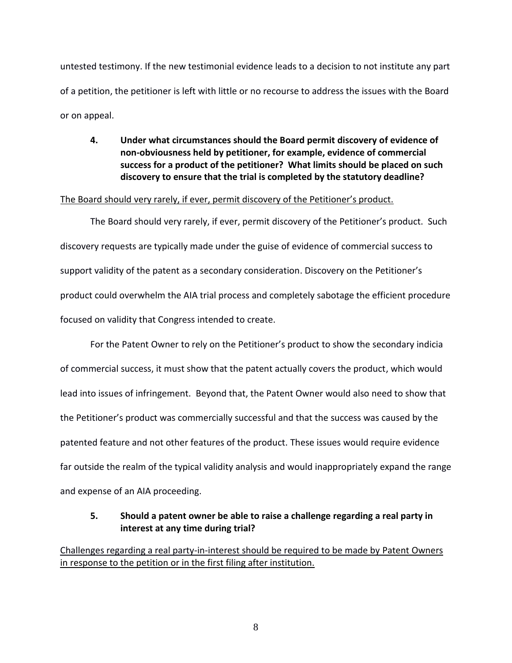untested testimony. If the new testimonial evidence leads to a decision to not institute any part of a petition, the petitioner is left with little or no recourse to address the issues with the Board or on appeal.

# <span id="page-7-0"></span>**4. Under what circumstances should the Board permit discovery of evidence of non-obviousness held by petitioner, for example, evidence of commercial success for a product of the petitioner? What limits should be placed on such discovery to ensure that the trial is completed by the statutory deadline?**

### <span id="page-7-1"></span>The Board should very rarely, if ever, permit discovery of the Petitioner's product.

The Board should very rarely, if ever, permit discovery of the Petitioner's product. Such discovery requests are typically made under the guise of evidence of commercial success to support validity of the patent as a secondary consideration. Discovery on the Petitioner's product could overwhelm the AIA trial process and completely sabotage the efficient procedure focused on validity that Congress intended to create.

For the Patent Owner to rely on the Petitioner's product to show the secondary indicia of commercial success, it must show that the patent actually covers the product, which would lead into issues of infringement. Beyond that, the Patent Owner would also need to show that the Petitioner's product was commercially successful and that the success was caused by the patented feature and not other features of the product. These issues would require evidence far outside the realm of the typical validity analysis and would inappropriately expand the range and expense of an AIA proceeding.

# <span id="page-7-2"></span>**5. Should a patent owner be able to raise a challenge regarding a real party in interest at any time during trial?**

<span id="page-7-3"></span>Challenges regarding a real party-in-interest should be required to be made by [Patent Owners](#page-7-3)  [in response to the petition or in the first filing after institution.](#page-7-3)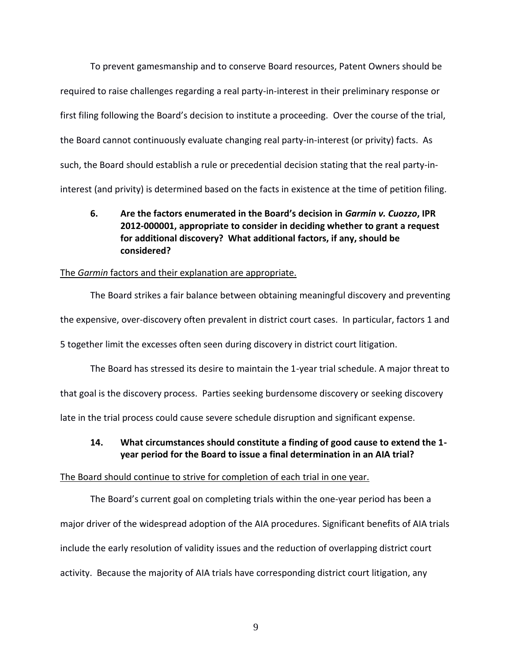To prevent gamesmanship and to conserve Board resources, Patent Owners should be required to raise challenges regarding a real party-in-interest in their preliminary response or first filing following the Board's decision to institute a proceeding. Over the course of the trial, the Board cannot continuously evaluate changing real party-in-interest (or privity) facts. As such, the Board should establish a rule or precedential decision stating that the real party-ininterest (and privity) is determined based on the facts in existence at the time of petition filing.

<span id="page-8-0"></span>**6. Are the factors enumerated in the Board's decision in** *Garmin v. Cuozzo***, IPR 2012-000001, appropriate to consider in deciding whether to grant a request for additional discovery? What additional factors, if any, should be considered?**

#### <span id="page-8-1"></span>The *Garmin* factors and their explanation are appropriate.

The Board strikes a fair balance between obtaining meaningful discovery and preventing the expensive, over-discovery often prevalent in district court cases. In particular, factors 1 and 5 together limit the excesses often seen during discovery in district court litigation.

The Board has stressed its desire to maintain the 1-year trial schedule. A major threat to that goal is the discovery process. Parties seeking burdensome discovery or seeking discovery late in the trial process could cause severe schedule disruption and significant expense.

### <span id="page-8-2"></span>**14. What circumstances should constitute a finding of good cause to extend the 1 year period for the Board to issue a final determination in an AIA trial?**

#### <span id="page-8-3"></span>The Board should continue to strive for completion of each trial in one year.

The Board's current goal on completing trials within the one-year period has been a major driver of the widespread adoption of the AIA procedures. Significant benefits of AIA trials include the early resolution of validity issues and the reduction of overlapping district court activity. Because the majority of AIA trials have corresponding district court litigation, any